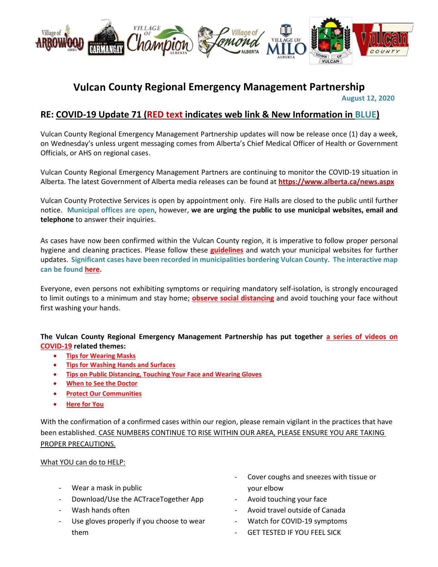

## **Vulcan County Regional Emergency Management Partnership**

 **August 12, 2020**

## **RE: COVID-19 Update 71 (RED text indicates web link & New Information in BLUE)**

Vulcan County Regional Emergency Management Partnership updates will now be release once (1) day a week, on Wednesday's unless urgent messaging comes from Alberta's Chief Medical Officer of Health or Government Officials, or AHS on regional cases.

Vulcan County Regional Emergency Management Partners are continuing to monitor the COVID-19 situation in Alberta. The latest Government of Alberta media releases can be found at **<https://www.alberta.ca/news.aspx>**

Vulcan County Protective Services is open by appointment only. Fire Halls are closed to the public until further notice. **Municipal offices are open**, however, **we are urging the public to use municipal websites, email and telephone** to answer their inquiries.

As cases have now been confirmed within the Vulcan County region, it is imperative to follow proper personal hygiene and cleaning practices. Please follow these **[guidelines](https://www.albertahealthservices.ca/topics/Page16997.aspx#sign)** and watch your municipal websites for further updates. **Significant cases have been recorded in municipalities bordering Vulcan County. The interactive map can be foun[d here.](https://www.alberta.ca/stats/covid-19-alberta-statistics.htm)**

Everyone, even persons not exhibiting symptoms or requiring mandatory self-isolation, is strongly encouraged to limit outings to a minimum and stay home; **[observe social distancing](https://www.albertahealthservices.ca/topics/Page17008.aspx)** and avoid touching your face without first washing your hands.

### **The Vulcan County Regional Emergency Management Partnership has put together [a series of videos on](https://villageoflomond.ca/allremavideos/)  [COVID-19](https://villageoflomond.ca/allremavideos/) related themes:**

- **[Tips for Wearing Masks](https://youtu.be/mS2rSlOT2n0)**
- **[Tips for Washing Hands and Surfaces](https://youtu.be/pWpGo3uQe-4)**
- **[Tips on Public Distancing, Touching Your Face and Wearing Gloves](https://youtu.be/84qhhl06TII)**
- **[When to See the Doctor](https://youtu.be/raDnetqvEXk)**
- **[Protect Our Communities](https://www.youtube.com/watch?v=swS6GGn_iYg&feature=youtu.be)**
- **[Here for You](https://www.youtube.com/watch?v=QhxWFY7HuM4&feature=youtu.be)**

With the confirmation of a confirmed cases within our region, please remain vigilant in the practices that have been established. CASE NUMBERS CONTINUE TO RISE WITHIN OUR AREA, PLEASE ENSURE YOU ARE TAKING PROPER PRECAUTIONS.

#### What YOU can do to HELP:

- Wear a mask in public
- Download/Use the ACTraceTogether App
- Wash hands often
- Use gloves properly if you choose to wear them
- Cover coughs and sneezes with tissue or your elbow
- Avoid touching your face
- Avoid travel outside of Canada
- Watch for COVID-19 symptoms
- **GET TESTED IF YOU FEEL SICK**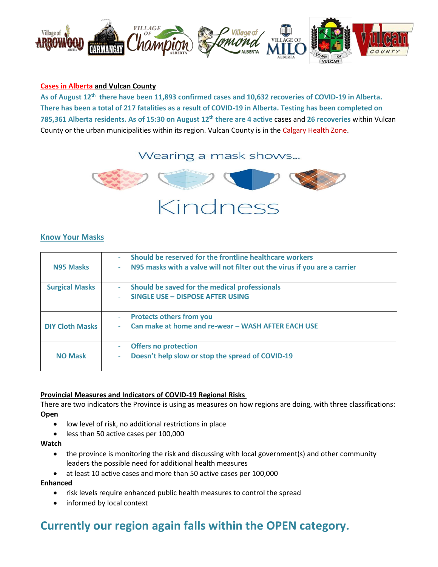

#### **[Cases in Alberta](https://covid19stats.alberta.ca/) and Vulcan County**

**As of August 12th there have been 11,893 confirmed cases and 10,632 recoveries of COVID-19 in Alberta. There has been a total of 217 fatalities as a result of COVID-19 in Alberta. Testing has been completed on 785,361 Alberta residents. As of 15:30 on August 12th there are 4 active** cases and **26 recoveries** within Vulcan County or the urban municipalities within its region. Vulcan County is in the [Calgary Health Zone.](https://www.albertahealthservices.ca/ahs-map-ahs-zones.pdf)

## Wearing a mask shows...



#### **Know Your Masks**

| <b>N95 Masks</b>       | Should be reserved for the frontline healthcare workers<br>N95 masks with a valve will not filter out the virus if you are a carrier<br>٠ |
|------------------------|-------------------------------------------------------------------------------------------------------------------------------------------|
| <b>Surgical Masks</b>  | Should be saved for the medical professionals<br>$\blacksquare$<br>SINGLE USE - DISPOSE AFTER USING                                       |
| <b>DIY Cloth Masks</b> | <b>Protects others from you</b><br>$\overline{\phantom{a}}$<br>Can make at home and re-wear - WASH AFTER EACH USE                         |
| <b>NO Mask</b>         | <b>Offers no protection</b><br>Doesn't help slow or stop the spread of COVID-19<br>٠                                                      |

#### **Provincial Measures and Indicators of COVID-19 Regional Risks**

There are two indicators the Province is using as measures on how regions are doing, with three classifications: **Open**

- low level of risk, no additional restrictions in place
- less than 50 active cases per 100,000

#### **Watch**

- the province is monitoring the risk and discussing with local government(s) and other community leaders the possible need for additional health measures
- at least 10 active cases and more than 50 active cases per 100,000

#### **Enhanced**

- risk levels require enhanced public health measures to control the spread
- informed by local context

# **Currently our region again falls within the OPEN category.**